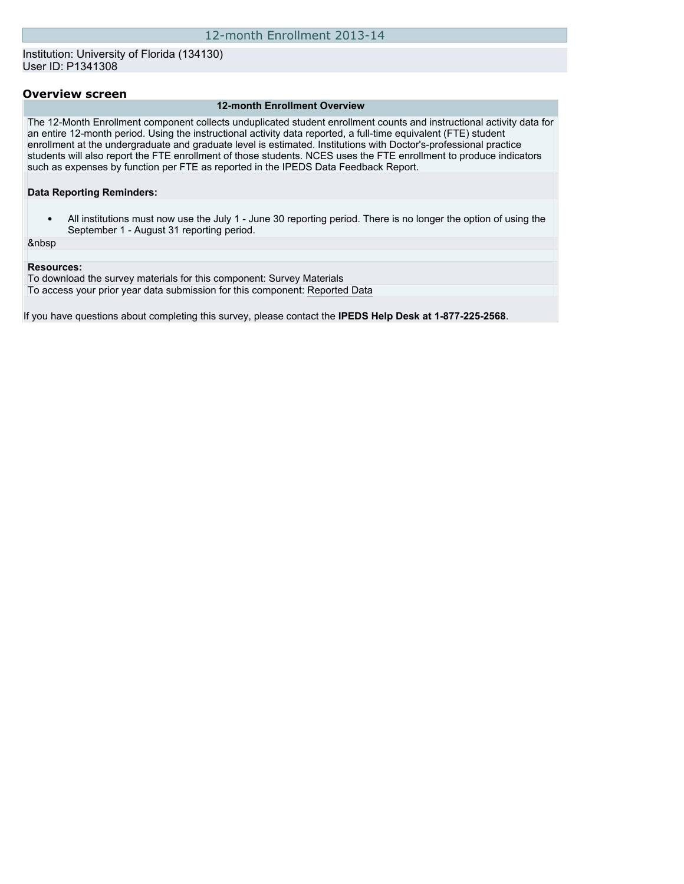### Institution: University of Florida (134130) User ID: P1341308

#### **Overview screen**

#### **12-month Enrollment Overview**

The 12-Month Enrollment component collects unduplicated student enrollment counts and instructional activity data for an entire 12-month period. Using the instructional activity data reported, a full-time equivalent (FTE) student enrollment at the undergraduate and graduate level is estimated. Institutions with Doctor's-professional practice students will also report the FTE enrollment of those students. NCES uses the FTE enrollment to produce indicators such as expenses by function per FTE as reported in the IPEDS Data Feedback Report.

**Data Reporting Reminders:**

• All institutions must now use the July 1 - June 30 reporting period. There is no longer the option of using the September 1 - August 31 reporting period.

&nbsp

#### **Resources:**

To download the survey materials for this component: [Survey Materials](https://surveys.nces.ed.gov/ipeds/VisIndex.aspx) To access your prior year data submission for this component: [Reported Data](https://surveys.nces.ed.gov/IPEDS/PriorYearDataRedirect.aspx?survey_id=9)

If you have questions about completing this survey, please contact the **IPEDS Help Desk at 1-877-225-2568**.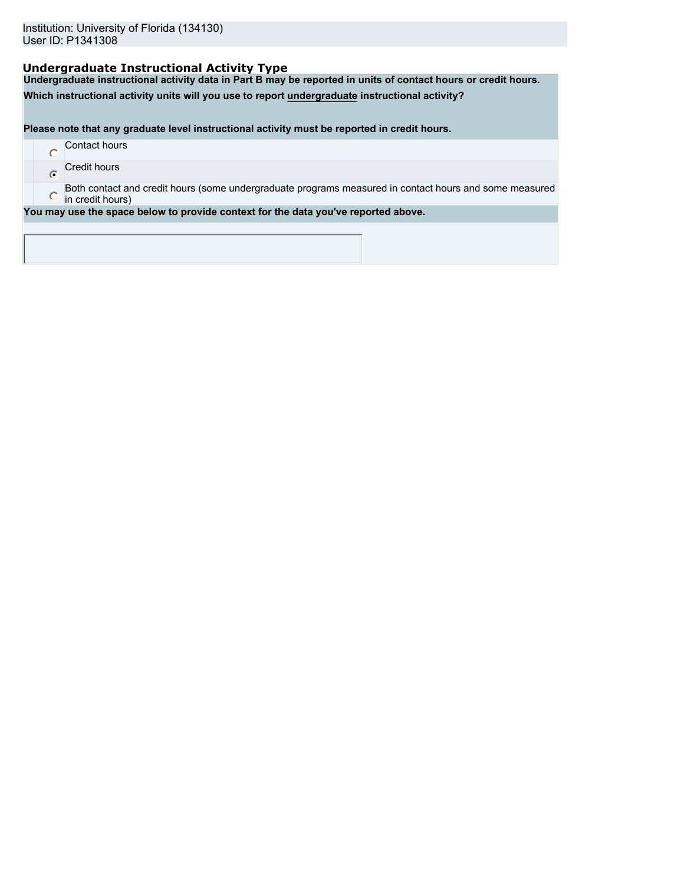## **Undergraduate Instructional Activity Type**

**Undergraduate instructional activity data in Part B may be reported in units of contact hours or credit hours.**

**Which instructional activity units will you use to report undergraduate instructional activity?**

**Please note that any graduate level instructional activity must be reported in credit hours.**

|  | Contact hours       |
|--|---------------------|
|  | <b>Credit hours</b> |

 $\ddot{\bullet}$ 

Both contact and credit hours (some undergraduate programs measured in contact hours and some measured  $\bullet$ in credit hours)

**You may use the space below to provide context for the data you've reported above.**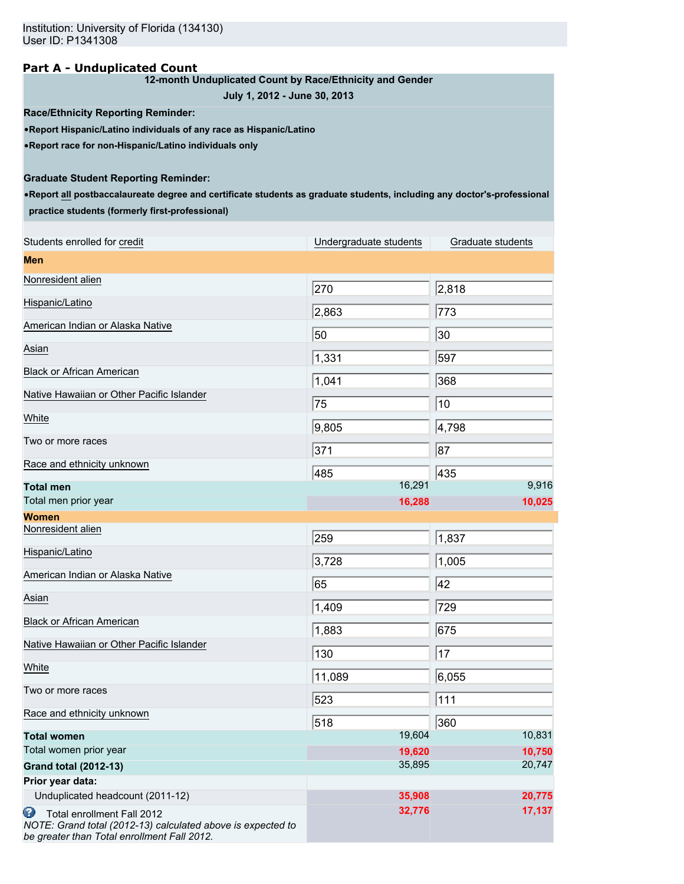### **Part A - Unduplicated Count**

### **12-month Unduplicated Count by Race/Ethnicity and Gender**

**July 1, 2012 - June 30, 2013**

**Race/Ethnicity Reporting Reminder:**

•**Report Hispanic/Latino individuals of any race as Hispanic/Latino**

•**Report race for non-Hispanic/Latino individuals only**

## **Graduate Student Reporting Reminder:**

•**Report all postbaccalaureate degree and certificate students as graduate students, including any doctor's-professional practice students (formerly first-professional)**

| Students enrolled for credit                                                                                                                  | Undergraduate students | Graduate students |
|-----------------------------------------------------------------------------------------------------------------------------------------------|------------------------|-------------------|
| <b>Men</b>                                                                                                                                    |                        |                   |
| Nonresident alien                                                                                                                             | 270                    | 2,818             |
| Hispanic/Latino                                                                                                                               | 2,863                  | 773               |
| American Indian or Alaska Native                                                                                                              | 50                     | 30                |
| Asian                                                                                                                                         | 1,331                  | 597               |
| <b>Black or African American</b>                                                                                                              |                        |                   |
| Native Hawaiian or Other Pacific Islander                                                                                                     | 1,041                  | 368               |
| White                                                                                                                                         | 75                     | 10                |
| Two or more races                                                                                                                             | 9,805                  | 4,798             |
| Race and ethnicity unknown                                                                                                                    | 371                    | 87                |
|                                                                                                                                               | 485                    | 435               |
| <b>Total men</b>                                                                                                                              | 16,291                 | 9,916             |
| Total men prior year                                                                                                                          | 16,288                 | 10,025            |
| <b>Women</b>                                                                                                                                  |                        |                   |
| Nonresident alien                                                                                                                             | 259                    | 1,837             |
| Hispanic/Latino                                                                                                                               | 3,728                  | 1,005             |
| American Indian or Alaska Native                                                                                                              | 65                     | 42                |
| Asian                                                                                                                                         | 1,409                  | 729               |
| <b>Black or African American</b>                                                                                                              | 1,883                  | 675               |
| Native Hawaiian or Other Pacific Islander                                                                                                     | 130                    | 17                |
| White                                                                                                                                         |                        |                   |
| Two or more races                                                                                                                             | 11,089                 | 6,055             |
| Race and ethnicity unknown                                                                                                                    | 523                    | 111               |
|                                                                                                                                               | 518<br>19,604          | 360<br>10,831     |
| <b>Total women</b><br>Total women prior year                                                                                                  |                        |                   |
|                                                                                                                                               | 19,620<br>35,895       | 10,750<br>20,747  |
| <b>Grand total (2012-13)</b>                                                                                                                  |                        |                   |
| Prior year data:                                                                                                                              |                        |                   |
| Unduplicated headcount (2011-12)                                                                                                              | 35,908                 | 20,775            |
| Θ<br>Total enrollment Fall 2012<br>NOTE: Grand total (2012-13) calculated above is expected to<br>be greater than Total enrollment Fall 2012. | 32,776                 | 17,137            |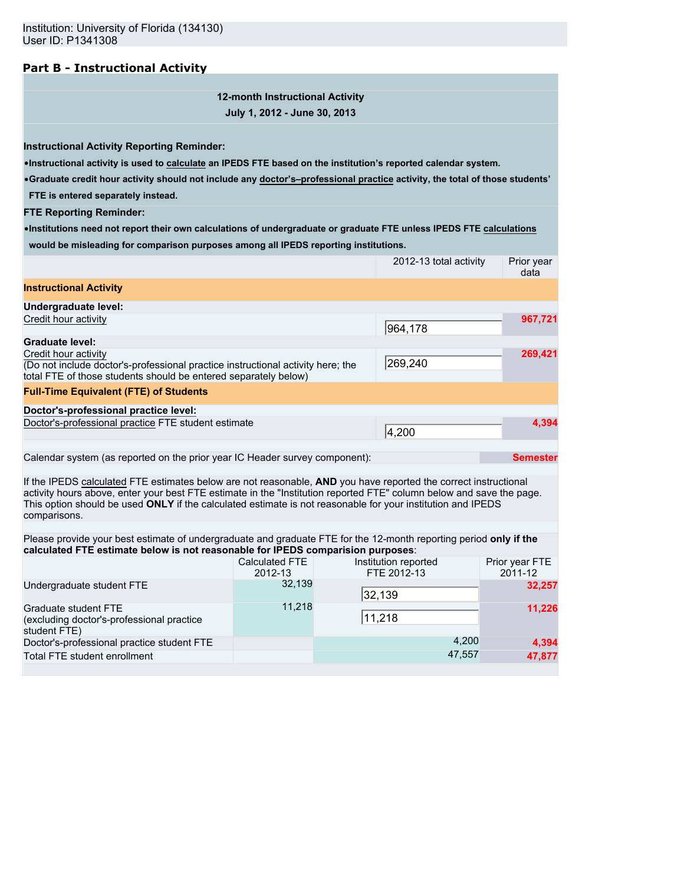## **Part B - Instructional Activity**

**12-month Instructional Activity July 1, 2012 - June 30, 2013**

**Instructional Activity Reporting Reminder:**

•**Instructional activity is used to calculate an IPEDS FTE based on the institution's reported calendar system.**

•**Graduate credit hour activity should not include any doctor's–professional practice activity, the total of those students' FTE is entered separately instead.**

**FTE Reporting Reminder:**

•**Institutions need not report their own calculations of undergraduate or graduate FTE unless IPEDS FTE calculations would be misleading for comparison purposes among all IPEDS reporting institutions.**

|                                                                                                                                                                                                                                                                                                                                                                        |                           | 2012-13 total activity              | Prior year<br>data        |
|------------------------------------------------------------------------------------------------------------------------------------------------------------------------------------------------------------------------------------------------------------------------------------------------------------------------------------------------------------------------|---------------------------|-------------------------------------|---------------------------|
| <b>Instructional Activity</b>                                                                                                                                                                                                                                                                                                                                          |                           |                                     |                           |
| Undergraduate level:                                                                                                                                                                                                                                                                                                                                                   |                           |                                     |                           |
| Credit hour activity                                                                                                                                                                                                                                                                                                                                                   |                           | 964,178                             | 967,721                   |
| <b>Graduate level:</b>                                                                                                                                                                                                                                                                                                                                                 |                           |                                     |                           |
| Credit hour activity<br>(Do not include doctor's-professional practice instructional activity here; the<br>total FTE of those students should be entered separately below)                                                                                                                                                                                             | 269,240                   | 269,421                             |                           |
| <b>Full-Time Equivalent (FTE) of Students</b>                                                                                                                                                                                                                                                                                                                          |                           |                                     |                           |
| Doctor's-professional practice level:                                                                                                                                                                                                                                                                                                                                  |                           |                                     |                           |
| Doctor's-professional practice FTE student estimate                                                                                                                                                                                                                                                                                                                    |                           | 4,200                               | 4,394                     |
|                                                                                                                                                                                                                                                                                                                                                                        |                           |                                     |                           |
| Calendar system (as reported on the prior year IC Header survey component):                                                                                                                                                                                                                                                                                            |                           |                                     | <b>Semester</b>           |
| If the IPEDS calculated FTE estimates below are not reasonable, AND you have reported the correct instructional<br>activity hours above, enter your best FTE estimate in the "Institution reported FTE" column below and save the page.<br>This option should be used ONLY if the calculated estimate is not reasonable for your institution and IPEDS<br>comparisons. |                           |                                     |                           |
|                                                                                                                                                                                                                                                                                                                                                                        |                           |                                     |                           |
| Please provide your best estimate of undergraduate and graduate FTE for the 12-month reporting period only if the<br>calculated FTE estimate below is not reasonable for IPEDS comparision purposes:                                                                                                                                                                   |                           |                                     |                           |
|                                                                                                                                                                                                                                                                                                                                                                        | Calculated FTE<br>2012-13 | Institution reported<br>FTE 2012-13 | Prior year FTE<br>2011-12 |
| Undergraduate student FTE                                                                                                                                                                                                                                                                                                                                              | 32,139                    | 32,139                              | 32,257                    |
| Graduate student FTE<br>(excluding doctor's-professional practice<br>student FTE)                                                                                                                                                                                                                                                                                      | 11,218                    | 11,218                              | 11,226                    |
| Doctor's-professional practice student FTE                                                                                                                                                                                                                                                                                                                             |                           | 4,200                               | 4,394                     |
| Total FTE student enrollment                                                                                                                                                                                                                                                                                                                                           |                           | 47,557                              | 47,877                    |
|                                                                                                                                                                                                                                                                                                                                                                        |                           |                                     |                           |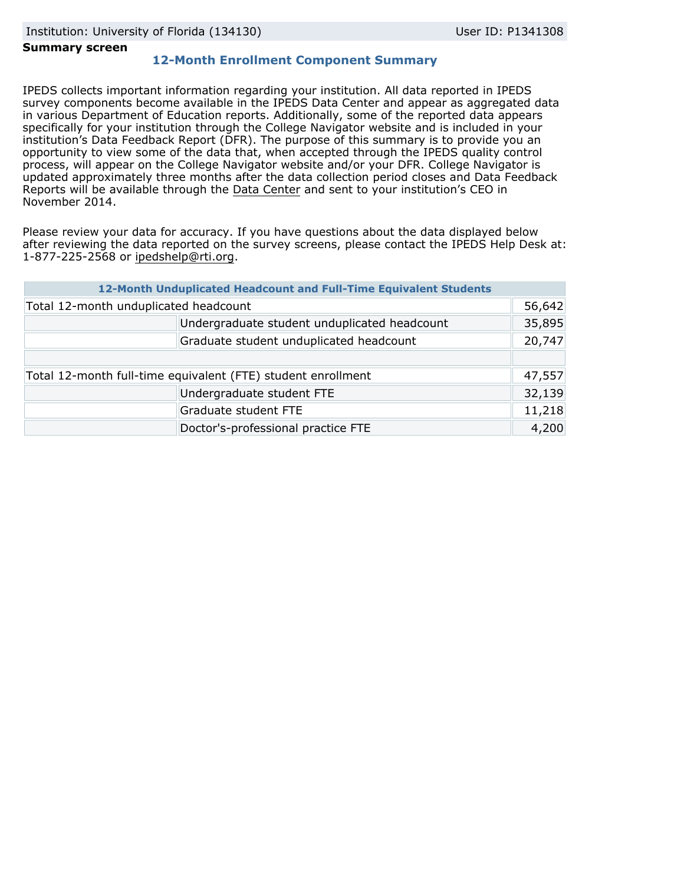#### **Summary screen**

# **12-Month Enrollment Component Summary**

IPEDS collects important information regarding your institution. All data reported in IPEDS survey components become available in the IPEDS Data Center and appear as aggregated data in various Department of Education reports. Additionally, some of the reported data appears specifically for your institution through the College Navigator website and is included in your institution's Data Feedback Report (DFR). The purpose of this summary is to provide you an opportunity to view some of the data that, when accepted through the IPEDS quality control process, will appear on the College Navigator website and/or your DFR. College Navigator is updated approximately three months after the data collection period closes and Data Feedback Reports will be available through the [Data Center](http://nces.ed.gov/ipeds/datacenter/) and sent to your institution's CEO in November 2014.

Please review your data for accuracy. If you have questions about the data displayed below after reviewing the data reported on the survey screens, please contact the IPEDS Help Desk at: 1-877-225-2568 or ipedshelp@rti.org.

|                                                              | 12-Month Unduplicated Headcount and Full-Time Equivalent Students |        |
|--------------------------------------------------------------|-------------------------------------------------------------------|--------|
| Total 12-month unduplicated headcount                        |                                                                   |        |
|                                                              | Undergraduate student unduplicated headcount                      | 35,895 |
|                                                              | Graduate student unduplicated headcount                           | 20,747 |
|                                                              |                                                                   |        |
| Total 12-month full-time equivalent (FTE) student enrollment |                                                                   |        |
|                                                              | Undergraduate student FTE                                         | 32,139 |
|                                                              | Graduate student FTE                                              | 11,218 |
|                                                              | Doctor's-professional practice FTE                                | 4,200  |